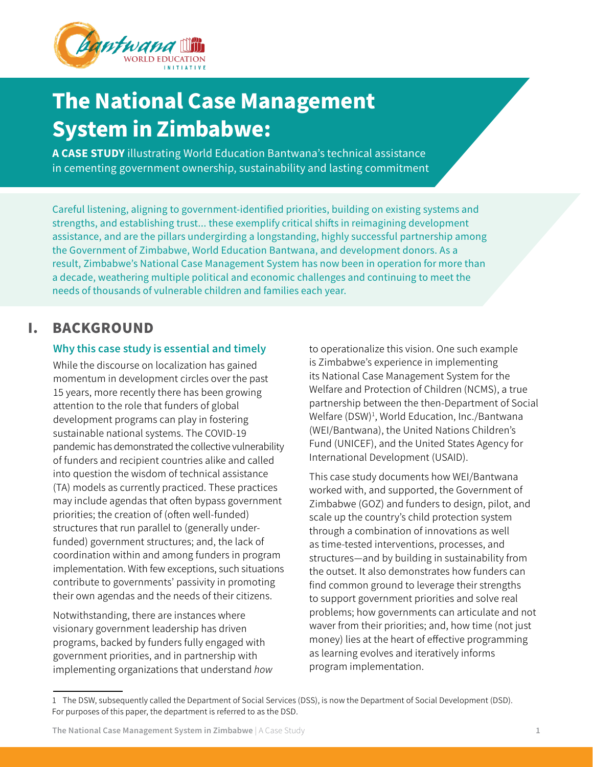

# The National Case Management **System in Zimbabwe:**

A CASE STUDY illustrating World Education Bantwana's technical assistance in cementing government ownership, sustainability and lasting commitment

Careful listening, aligning to government-identified priorities, building on existing systems and strengths, and establishing trust... these exemplify critical shifts in reimagining development assistance, and are the pillars undergirding a longstanding, highly successful partnership among the Government of Zimbabwe, World Education Bantwana, and development donors. As a result, Zimbabwe's National Case Management System has now been in operation for more than a decade, weathering multiple political and economic challenges and continuing to meet the needs of thousands of vulnerable children and families each year.

# I. BACKGROUND

### Why this case study is essential and timely

While the discourse on localization has gained momentum in development circles over the past 15 years, more recently there has been growing attention to the role that funders of global development programs can play in fostering sustainable national systems. The COVID-19 pandemic has demonstrated the collective vulnerability of funders and recipient countries alike and called into question the wisdom of technical assistance (TA) models as currently practiced. These practices may include agendas that often bypass government priorities; the creation of (often well-funded) structures that run parallel to (generally underfunded) government structures; and, the lack of coordination within and among funders in program implementation. With few exceptions, such situations contribute to governments' passivity in promoting their own agendas and the needs of their citizens.

Notwithstanding, there are instances where visionary government leadership has driven programs, backed by funders fully engaged with government priorities, and in partnership with implementing organizations that understand *how* to operationalize this vision. One such example is Zimbabwe's experience in implementing its National Case Management System for the Welfare and Protection of Children (NCMS), a true partnership between the then-Department of Social Welfare (DSW)<sup>1</sup>, World Education, Inc./Bantwana (WEI/Bantwana), the United Nations Children's Fund (UNICEF), and the United States Agency for International Development (USAID).

This case study documents how WEI/Bantwana worked with, and supported, the Government of Zimbabwe (GOZ) and funders to design, pilot, and scale up the country's child protection system through a combination of innovations as well as time-tested interventions, processes, and structures—and by building in sustainability from the outset. It also demonstrates how funders can find common ground to leverage their strengths to support government priorities and solve real problems; how governments can articulate and not waver from their priorities; and, how time (not just money) lies at the heart of effective programming as learning evolves and iteratively informs program implementation.

<sup>1</sup> The DSW, subsequently called the Department of Social Services (DSS), is now the Department of Social Development (DSD). For purposes of this paper, the department is referred to as the DSD.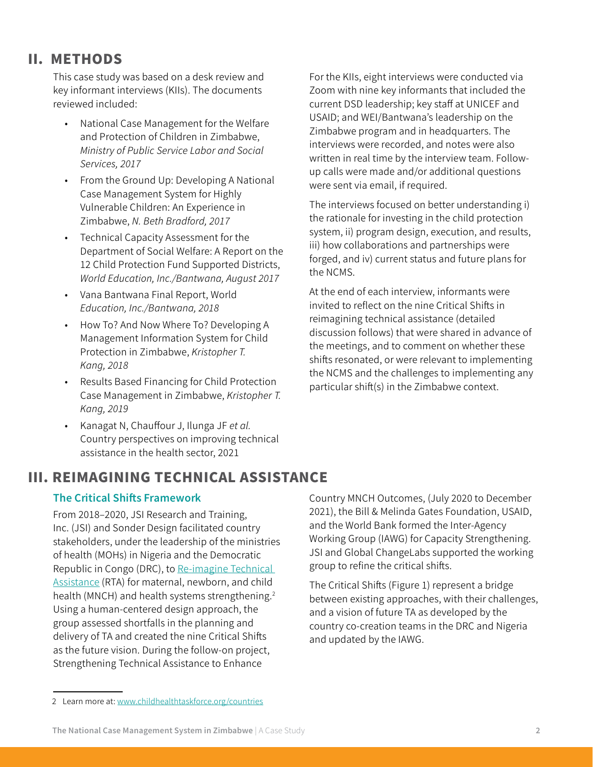# II. METHODS

This case study was based on a desk review and key informant interviews (KIIs). The documents reviewed included:

- • National Case Management for the Welfare and Protection of Children in Zimbabwe, *Ministry of Public Service Labor and Social Services, 2017*
- • From the Ground Up: Developing A National Case Management System for Highly Vulnerable Children: An Experience in Zimbabwe, *N. Beth Bradford, 2017*
- • Technical Capacity Assessment for the Department of Social Welfare: A Report on the 12 Child Protection Fund Supported Districts, *World Education, Inc./Bantwana, August 2017*
- • Vana Bantwana Final Report, World *Education, Inc./Bantwana, 2018*
- • How To? And Now Where To? Developing A Management Information System for Child Protection in Zimbabwe, *Kristopher T. Kang, 2018*
- • Results Based Financing for Child Protection Case Management in Zimbabwe, *Kristopher T. Kang, 2019*
- • Kanagat N, Chauffour J, Ilunga JF *et al.*  Country perspectives on improving technical assistance in the health sector, 2021

For the KIIs, eight interviews were conducted via Zoom with nine key informants that included the current DSD leadership; key staff at UNICEF and USAID; and WEI/Bantwana's leadership on the Zimbabwe program and in headquarters. The interviews were recorded, and notes were also written in real time by the interview team. Followup calls were made and/or additional questions were sent via email, if required.

The interviews focused on better understanding i) the rationale for investing in the child protection system, ii) program design, execution, and results, iii) how collaborations and partnerships were forged, and iv) current status and future plans for the NCMS.

At the end of each interview, informants were invited to reflect on the nine Critical Shifts in reimagining technical assistance (detailed discussion follows) that were shared in advance of the meetings, and to comment on whether these shifts resonated, or were relevant to implementing the NCMS and the challenges to implementing any particular shift(s) in the Zimbabwe context.

# III. REIMAGINING TECHNICAL ASSISTANCE

### The Critical Shifts Framework

From 2018–2020, JSI Research and Training, Inc. (JSI) and Sonder Design facilitated country stakeholders, under the leadership of the ministries of health (MOHs) in Nigeria and the Democratic Republic in Congo (DRC), to [Re-imagine](https://www.childhealthtaskforce.org/countries) Technical [Assistance](https://www.childhealthtaskforce.org/countries) (RTA) for maternal, newborn, and child health (MNCH) and health systems strengthening.<sup>2</sup> Using a human-centered design approach, the group assessed shortfalls in the planning and delivery of TA and created the nine Critical Shifts as the future vision. During the follow-on project, Strengthening Technical Assistance to Enhance

Country MNCH Outcomes, (July 2020 to December 2021), the Bill & Melinda Gates Foundation, USAID, and the World Bank formed the Inter-Agency Working Group (IAWG) for Capacity Strengthening. JSI and Global ChangeLabs supported the working group to refine the critical shifts.

The Critical Shifts (Figure 1) represent a bridge between existing approaches, with their challenges, and a vision of future TA as developed by the country co-creation teams in the DRC and Nigeria and updated by the IAWG.

<sup>2</sup> Learn more at: [www.childhealthtaskforce.org/countries](http://www.childhealthtaskforce.org/countries)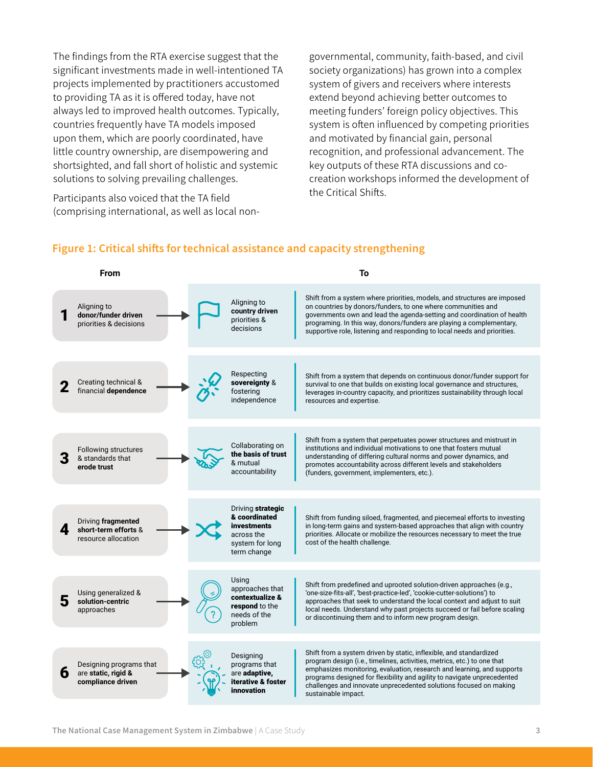The findings from the RTA exercise suggest that the significant investments made in well-intentioned TA projects implemented by practitioners accustomed to providing TA as it is offered today, have not always led to improved health outcomes. Typically, countries frequently have TA models imposed upon them, which are poorly coordinated, have little country ownership, are disempowering and shortsighted, and fall short of holistic and systemic solutions to solving prevailing challenges.

Participants also voiced that the TA field (comprising international, as well as local nongovernmental, community, faith-based, and civil society organizations) has grown into a complex system of givers and receivers where interests extend beyond achieving better outcomes to meeting funders' foreign policy objectives. This system is often influenced by competing priorities and motivated by financial gain, personal recognition, and professional advancement. The key outputs of these RTA discussions and cocreation workshops informed the development of the Critical Shifts.

#### Figure 1: Critical shifts for technical assistance and capacity strengthening



**individuals,** 

**increasing capacity** 

7

stakeholders involved in TA/CS to synergistically improve their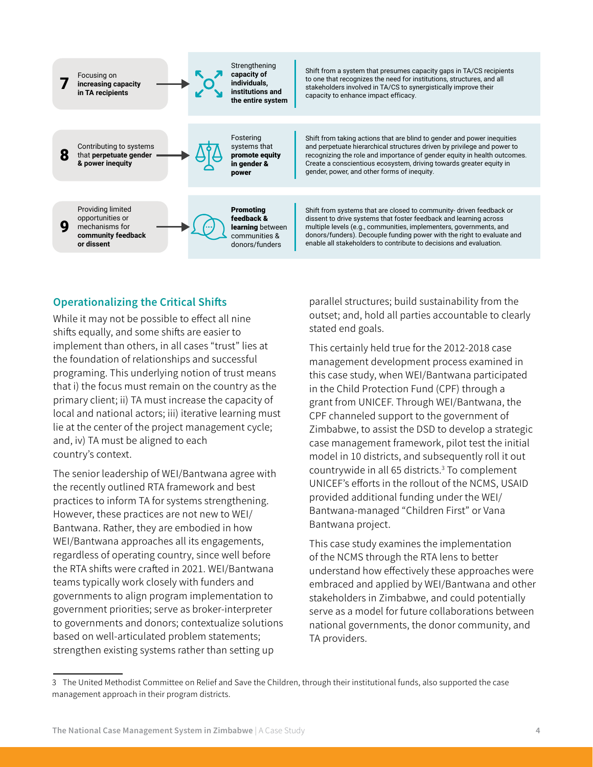

### Operationalizing the Critical Shifts

While it may not be possible to effect all nine shifts equally, and some shifts are easier to implement than others, in all cases "trust" lies at the foundation of relationships and successful programing. This underlying notion of trust means that i) the focus must remain on the country as the primary client; ii) TA must increase the capacity of local and national actors; iii) iterative learning must lie at the center of the project management cycle; and, iv) TA must be aligned to each country's context.

The senior leadership of WEI/Bantwana agree with the recently outlined RTA framework and best practices to inform TA for systems strengthening. However, these practices are not new to WEI/ Bantwana. Rather, they are embodied in how WEI/Bantwana approaches all its engagements, regardless of operating country, since well before the RTA shifts were crafted in 2021. WEI/Bantwana teams typically work closely with funders and governments to align program implementation to government priorities; serve as broker-interpreter to governments and donors; contextualize solutions based on well-articulated problem statements; strengthen existing systems rather than setting up

parallel structures; build sustainability from the outset; and, hold all parties accountable to clearly stated end goals.

This certainly held true for the 2012-2018 case management development process examined in this case study, when WEI/Bantwana participated in the Child Protection Fund (CPF) through a grant from UNICEF. Through WEI/Bantwana, the CPF channeled support to the government of Zimbabwe, to assist the DSD to develop a strategic case management framework, pilot test the initial model in 10 districts, and subsequently roll it out countrywide in all 65 districts.3 To complement UNICEF's efforts in the rollout of the NCMS, USAID provided additional funding under the WEI/ Bantwana-managed "Children First" or Vana Bantwana project.

This case study examines the implementation of the NCMS through the RTA lens to better understand how effectively these approaches were embraced and applied by WEI/Bantwana and other stakeholders in Zimbabwe, and could potentially serve as a model for future collaborations between national governments, the donor community, and TA providers.

<sup>3</sup> The United Methodist Committee on Relief and Save the Children, through their institutional funds, also supported the case management approach in their program districts.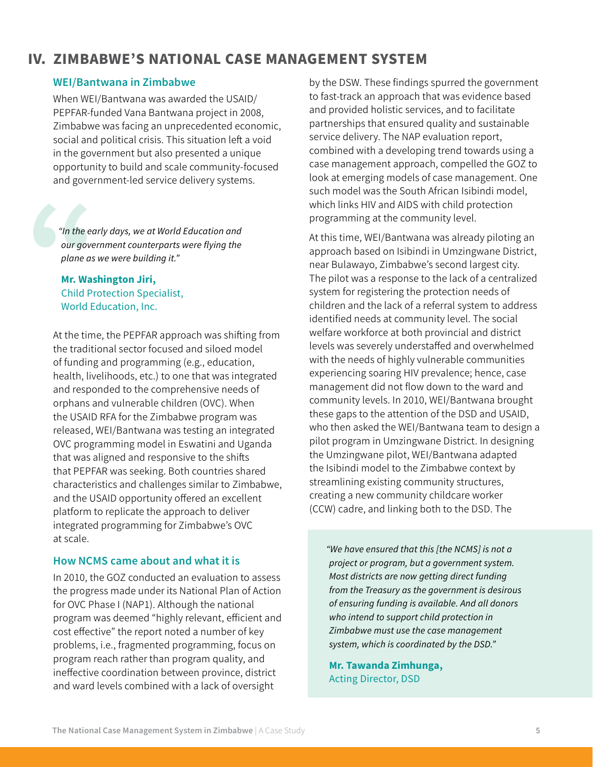# IV. ZIMBABWE'S NATIONAL CASE MANAGEMENT SYSTEM

### WEI/Bantwana in Zimbabwe

When WEI/Bantwana was awarded the USAID/ PEPFAR-funded Vana Bantwana project in 2008, Zimbabwe was facing an unprecedented economic, social and political crisis. This situation left a void in the government but also presented a unique opportunity to build and scale community-focused and government-led service delivery systems.

*"In the early days, we at World Education and our government counterparts were flying the plane as we were building it."* 

Mr. Washington Jiri, Child Protection Specialist, World Education, Inc.

At the time, the PEPFAR approach was shifting from the traditional sector focused and siloed model of funding and programming (e.g., education, health, livelihoods, etc.) to one that was integrated and responded to the comprehensive needs of orphans and vulnerable children (OVC). When the USAID RFA for the Zimbabwe program was released, WEI/Bantwana was testing an integrated OVC programming model in Eswatini and Uganda that was aligned and responsive to the shifts that PEPFAR was seeking. Both countries shared characteristics and challenges similar to Zimbabwe, and the USAID opportunity offered an excellent platform to replicate the approach to deliver integrated programming for Zimbabwe's OVC at scale.

#### How NCMS came about and what it is

In 2010, the GOZ conducted an evaluation to assess the progress made under its National Plan of Action for OVC Phase I (NAP1). Although the national program was deemed "highly relevant, efficient and cost effective" the report noted a number of key problems, i.e., fragmented programming, focus on program reach rather than program quality, and ineffective coordination between province, district and ward levels combined with a lack of oversight

by the DSW. These findings spurred the government to fast-track an approach that was evidence based and provided holistic services, and to facilitate partnerships that ensured quality and sustainable service delivery. The NAP evaluation report, combined with a developing trend towards using a case management approach, compelled the GOZ to look at emerging models of case management. One such model was the South African Isibindi model, which links HIV and AIDS with child protection programming at the community level.

At this time, WEI/Bantwana was already piloting an approach based on Isibindi in Umzingwane District, near Bulawayo, Zimbabwe's second largest city. The pilot was a response to the lack of a centralized system for registering the protection needs of children and the lack of a referral system to address identified needs at community level. The social welfare workforce at both provincial and district levels was severely understaffed and overwhelmed with the needs of highly vulnerable communities experiencing soaring HIV prevalence; hence, case management did not flow down to the ward and community levels. In 2010, WEI/Bantwana brought these gaps to the attention of the DSD and USAID, who then asked the WEI/Bantwana team to design a pilot program in Umzingwane District. In designing the Umzingwane pilot, WEI/Bantwana adapted the Isibindi model to the Zimbabwe context by streamlining existing community structures, creating a new community childcare worker (CCW) cadre, and linking both to the DSD. The

*"We have ensured that this [the NCMS] is not a project or program, but a government system. Most districts are now getting direct funding from the Treasury as the government is desirous of ensuring funding is available. And all donors who intend to support child protection in Zimbabwe must use the case management system, which is coordinated by the DSD."*

Mr. Tawanda Zimhunga, Acting Director, DSD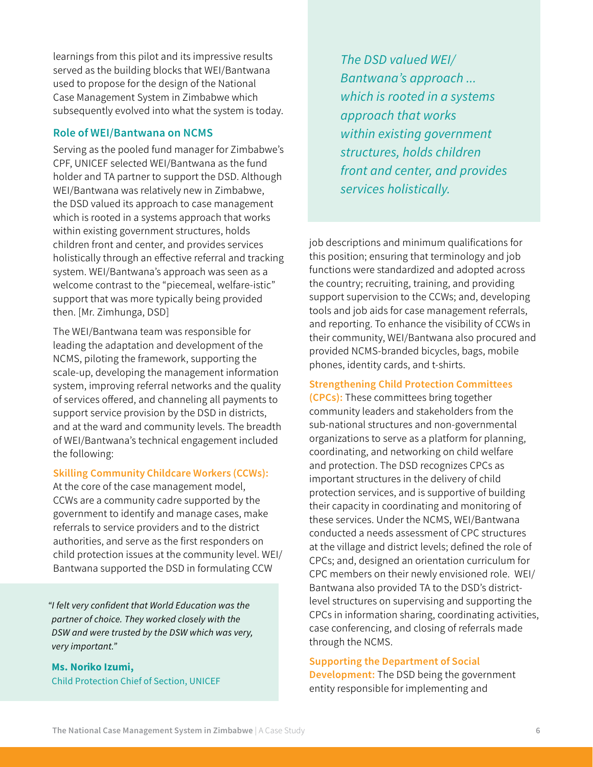learnings from this pilot and its impressive results served as the building blocks that WEI/Bantwana used to propose for the design of the National Case Management System in Zimbabwe which subsequently evolved into what the system is today.

#### Role of WEI/Bantwana on NCMS

Serving as the pooled fund manager for Zimbabwe's CPF, UNICEF selected WEI/Bantwana as the fund holder and TA partner to support the DSD. Although WEI/Bantwana was relatively new in Zimbabwe, the DSD valued its approach to case management which is rooted in a systems approach that works within existing government structures, holds children front and center, and provides services holistically through an effective referral and tracking system. WEI/Bantwana's approach was seen as a welcome contrast to the "piecemeal, welfare-istic" support that was more typically being provided then. [Mr. Zimhunga, DSD]

The WEI/Bantwana team was responsible for leading the adaptation and development of the NCMS, piloting the framework, supporting the scale-up, developing the management information system, improving referral networks and the quality of services offered, and channeling all payments to support service provision by the DSD in districts, and at the ward and community levels. The breadth of WEI/Bantwana's technical engagement included the following:

#### Skilling Community Childcare Workers (CCWs):

At the core of the case management model, CCWs are a community cadre supported by the government to identify and manage cases, make referrals to service providers and to the district authorities, and serve as the first responders on child protection issues at the community level. WEI/ Bantwana supported the DSD in formulating CCW

*"I felt very confident that World Education was the partner of choice. They worked closely with the DSW and were trusted by the DSW which was very, very important."*

Ms. Noriko Izumi, Child Protection Chief of Section, UNICEF *The DSD valued WEI/* **The DSD valued WEI/** *Bantwana's approach ... which is rooted in a systems of the government and local organizations…*  $approd$  that works  $a$ *within existing government*   $\boldsymbol{s}$ *structures, holds children front and center, and provides* services holistically. *share their expertise, and enjoyed the respect government…Now everyone is scaling up the NCMS, and the Malawi government still talks*  Senior OVC Advisor, USAID

job descriptions and minimum qualifications for this position; ensuring that terminology and job functions were standardized and adopted across the country; recruiting, training, and providing support supervision to the CCWs; and, developing tools and job aids for case management referrals, and reporting. To enhance the visibility of CCWs in their community, WEI/Bantwana also procured and provided NCMS-branded bicycles, bags, mobile phones, identity cards, and t-shirts.

#### Strengthening Child Protection Committees

(CPCs): These committees bring together community leaders and stakeholders from the sub-national structures and non-governmental organizations to serve as a platform for planning, coordinating, and networking on child welfare and protection. The DSD recognizes CPCs as important structures in the delivery of child protection services, and is supportive of building their capacity in coordinating and monitoring of these services. Under the NCMS, WEI/Bantwana conducted a needs assessment of CPC structures at the village and district levels; defined the role of CPCs; and, designed an orientation curriculum for CPC members on their newly envisioned role. WEI/ Bantwana also provided TA to the DSD's districtlevel structures on supervising and supporting the CPCs in information sharing, coordinating activities, case conferencing, and closing of referrals made through the NCMS.

#### Supporting the Department of Social

Development: The DSD being the government entity responsible for implementing and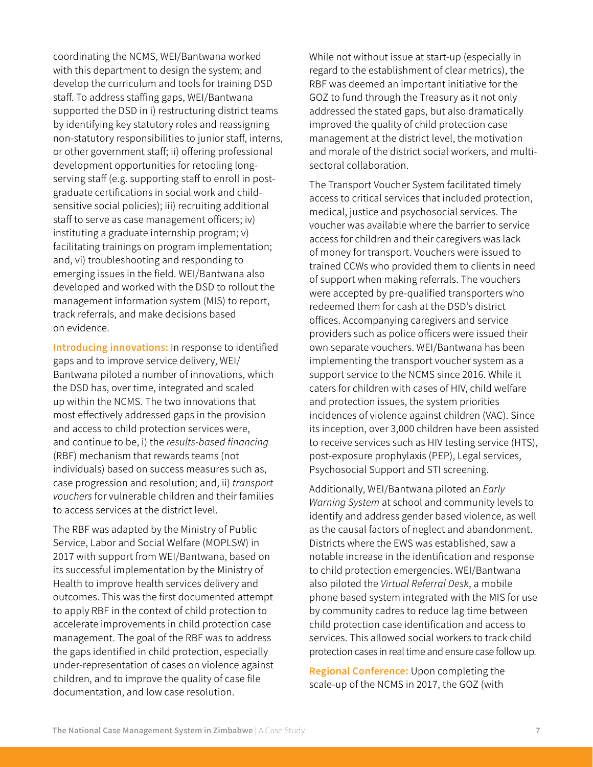coordinating the NCMS, WEI/Bantwana worked with this department to design the system; and develop the curriculum and tools for training DSD staff. To address staffing gaps, WEI/Bantwana supported the DSD in i) restructuring district teams by identifying key statutory roles and reassigning non-statutory responsibilities to junior staff, interns, or other government staff; ii) offering professional development opportunities for retooling longserving staff (e.g. supporting staff to enroll in postgraduate certifications in social work and childsensitive social policies); iii) recruiting additional staff to serve as case management officers; iv) instituting a graduate internship program; v) facilitating trainings on program implementation; and, vi) troubleshooting and responding to emerging issues in the field. WEI/Bantwana also developed and worked with the DSD to rollout the management information system (MIS) to report, track referrals, and make decisions based on evidence.

Introducing innovations: In response to identified gaps and to improve service delivery, WEI/ Bantwana piloted a number of innovations, which the DSD has, over time, integrated and scaled up within the NCMS. The two innovations that most effectively addressed gaps in the provision and access to child protection services were, and continue to be, i) the *results-based financing*  (RBF) mechanism that rewards teams (not individuals) based on success measures such as, case progression and resolution; and, ii) *transport vouchers* for vulnerable children and their families to access services at the district level.

The RBF was adapted by the Ministry of Public Service, Labor and Social Welfare (MOPLSW) in 2017 with support from WEI/Bantwana, based on its successful implementation by the Ministry of Health to improve health services delivery and outcomes. This was the first documented attempt to apply RBF in the context of child protection to accelerate improvements in child protection case management. The goal of the RBF was to address the gaps identified in child protection, especially under-representation of cases on violence against children, and to improve the quality of case file documentation, and low case resolution.

While not without issue at start-up (especially in regard to the establishment of clear metrics), the RBF was deemed an important initiative for the GOZ to fund through the Treasury as it not only addressed the stated gaps, but also dramatically improved the quality of child protection case management at the district level, the motivation and morale of the district social workers, and multisectoral collaboration.

The Transport Voucher System facilitated timely access to critical services that included protection, medical, justice and psychosocial services. The voucher was available where the barrier to service access for children and their caregivers was lack of money for transport. Vouchers were issued to trained CCWs who provided them to clients in need of support when making referrals. The vouchers were accepted by pre-qualified transporters who redeemed them for cash at the DSD's district offices. Accompanying caregivers and service providers such as police officers were issued their own separate vouchers. WEI/Bantwana has been implementing the transport voucher system as a support service to the NCMS since 2016. While it caters for children with cases of HIV, child welfare and protection issues, the system priorities incidences of violence against children (VAC). Since its inception, over 3,000 children have been assisted to receive services such as HIV testing service (HTS), post-exposure prophylaxis (PEP), Legal services, Psychosocial Support and STI screening.

Additionally, WEI/Bantwana piloted an *Early Warning System* at school and community levels to identify and address gender based violence, as well as the causal factors of neglect and abandonment. Districts where the EWS was established, saw a notable increase in the identification and response to child protection emergencies. WEI/Bantwana also piloted the *Virtual Referral Desk*, a mobile phone based system integrated with the MIS for use by community cadres to reduce lag time between child protection case identification and access to services. This allowed social workers to track child protection cases in real time and ensure case follow up.

**Regional Conference:** Upon completing the scale-up of the NCMS in 2017, the GOZ (with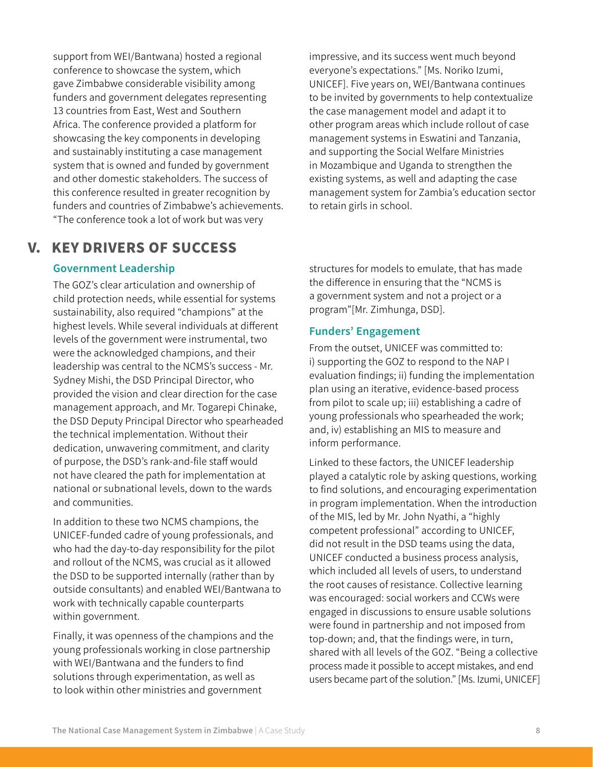support from WEI/Bantwana) hosted a regional conference to showcase the system, which gave Zimbabwe considerable visibility among funders and government delegates representing 13 countries from East, West and Southern Africa. The conference provided a platform for showcasing the key components in developing and sustainably instituting a case management system that is owned and funded by government and other domestic stakeholders. The success of this conference resulted in greater recognition by funders and countries of Zimbabwe's achievements. "The conference took a lot of work but was very

# V. KEY DRIVERS OF SUCCESS

### Government Leadership

The GOZ's clear articulation and ownership of child protection needs, while essential for systems sustainability, also required "champions" at the highest levels. While several individuals at different levels of the government were instrumental, two were the acknowledged champions, and their leadership was central to the NCMS's success - Mr. Sydney Mishi, the DSD Principal Director, who provided the vision and clear direction for the case management approach, and Mr. Togarepi Chinake, the DSD Deputy Principal Director who spearheaded the technical implementation. Without their dedication, unwavering commitment, and clarity of purpose, the DSD's rank-and-file staff would not have cleared the path for implementation at national or subnational levels, down to the wards and communities.

In addition to these two NCMS champions, the UNICEF-funded cadre of young professionals, and who had the day-to-day responsibility for the pilot and rollout of the NCMS, was crucial as it allowed the DSD to be supported internally (rather than by outside consultants) and enabled WEI/Bantwana to work with technically capable counterparts within government.

Finally, it was openness of the champions and the young professionals working in close partnership with WEI/Bantwana and the funders to find solutions through experimentation, as well as to look within other ministries and government

impressive, and its success went much beyond everyone's expectations." [Ms. Noriko Izumi, UNICEF]. Five years on, WEI/Bantwana continues to be invited by governments to help contextualize the case management model and adapt it to other program areas which include rollout of case management systems in Eswatini and Tanzania, and supporting the Social Welfare Ministries in Mozambique and Uganda to strengthen the existing systems, as well and adapting the case management system for Zambia's education sector to retain girls in school.

structures for models to emulate, that has made the difference in ensuring that the "NCMS is a government system and not a project or a program"[Mr. Zimhunga, DSD].

#### Funders' Engagement

From the outset, UNICEF was committed to: i) supporting the GOZ to respond to the NAP I evaluation findings; ii) funding the implementation plan using an iterative, evidence-based process from pilot to scale up; iii) establishing a cadre of young professionals who spearheaded the work; and, iv) establishing an MIS to measure and inform performance.

Linked to these factors, the UNICEF leadership played a catalytic role by asking questions, working to find solutions, and encouraging experimentation in program implementation. When the introduction of the MIS, led by Mr. John Nyathi, a "highly competent professional" according to UNICEF, did not result in the DSD teams using the data, UNICEF conducted a business process analysis, which included all levels of users, to understand the root causes of resistance. Collective learning was encouraged: social workers and CCWs were engaged in discussions to ensure usable solutions were found in partnership and not imposed from top-down; and, that the findings were, in turn, shared with all levels of the GOZ. "Being a collective process made it possible to accept mistakes, and end users became part of the solution."[Ms. Izumi, UNICEF]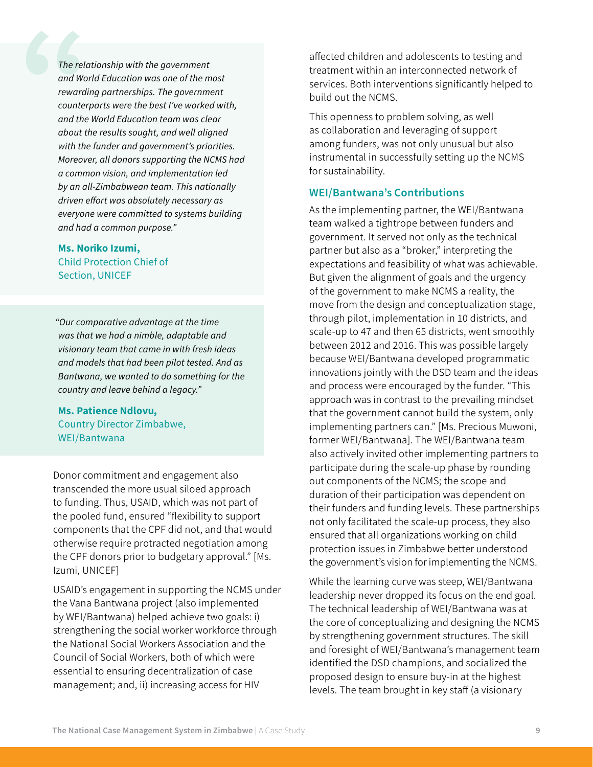*The relationship with the government and World Education was one of the most rewarding partnerships. The government counterparts were the best I've worked with, and the World Education team was clear about the results sought, and well aligned with the funder and government's priorities. Moreover, all donors supporting the NCMS had a common vision, and implementation led by an all-Zimbabwean team. This nationally driven effort was absolutely necessary as everyone were committed to systems building and had a common purpose."*

Ms. Noriko Izumi, Child Protection Chief of Section, UNICEF

*"Our comparative advantage at the time was that we had a nimble, adaptable and visionary team that came in with fresh ideas and models that had been pilot tested. And as Bantwana, we wanted to do something for the country and leave behind a legacy."*

Ms. Patience Ndlovu, Country Director Zimbabwe, WEI/Bantwana

Donor commitment and engagement also transcended the more usual siloed approach to funding. Thus, USAID, which was not part of the pooled fund, ensured "flexibility to support components that the CPF did not, and that would otherwise require protracted negotiation among the CPF donors prior to budgetary approval." [Ms. Izumi, UNICEF]

USAID's engagement in supporting the NCMS under the Vana Bantwana project (also implemented by WEI/Bantwana) helped achieve two goals: i) strengthening the social worker workforce through the National Social Workers Association and the Council of Social Workers, both of which were essential to ensuring decentralization of case management; and, ii) increasing access for HIV

affected children and adolescents to testing and treatment within an interconnected network of services. Both interventions significantly helped to build out the NCMS.

This openness to problem solving, as well as collaboration and leveraging of support among funders, was not only unusual but also instrumental in successfully setting up the NCMS for sustainability.

#### WEI/Bantwana's Contributions

As the implementing partner, the WEI/Bantwana team walked a tightrope between funders and government. It served not only as the technical partner but also as a "broker," interpreting the expectations and feasibility of what was achievable. But given the alignment of goals and the urgency of the government to make NCMS a reality, the move from the design and conceptualization stage, through pilot, implementation in 10 districts, and scale-up to 47 and then 65 districts, went smoothly between 2012 and 2016. This was possible largely because WEI/Bantwana developed programmatic innovations jointly with the DSD team and the ideas and process were encouraged by the funder. "This approach was in contrast to the prevailing mindset that the government cannot build the system, only implementing partners can." [Ms. Precious Muwoni, former WEI/Bantwana]. The WEI/Bantwana team also actively invited other implementing partners to participate during the scale-up phase by rounding out components of the NCMS; the scope and duration of their participation was dependent on their funders and funding levels. These partnerships not only facilitated the scale-up process, they also ensured that all organizations working on child protection issues in Zimbabwe better understood the government's vision for implementing the NCMS.

While the learning curve was steep, WEI/Bantwana leadership never dropped its focus on the end goal. The technical leadership of WEI/Bantwana was at the core of conceptualizing and designing the NCMS by strengthening government structures. The skill and foresight of WEI/Bantwana's management team identified the DSD champions, and socialized the proposed design to ensure buy-in at the highest levels. The team brought in key staff (a visionary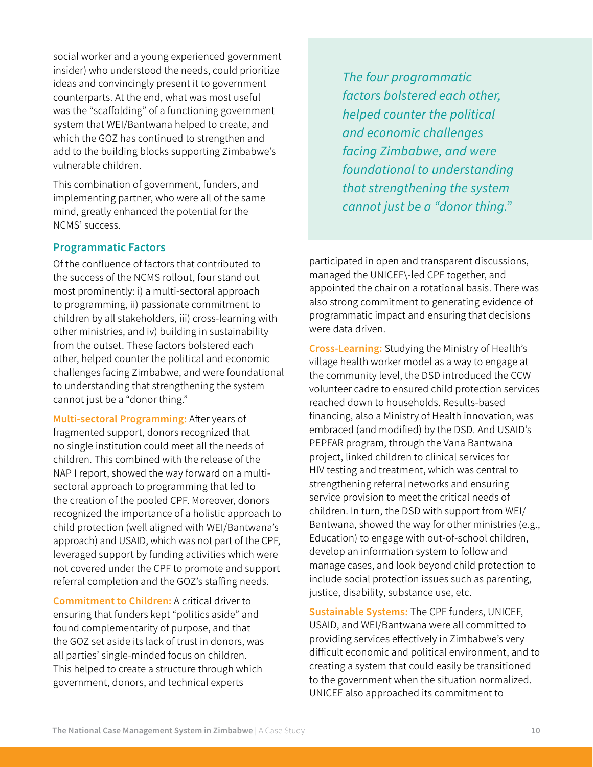social worker and a young experienced government insider) who understood the needs, could prioritize ideas and convincingly present it to government counterparts. At the end, what was most useful was the "scaffolding" of a functioning government system that WEI/Bantwana helped to create, and which the GOZ has continued to strengthen and add to the building blocks supporting Zimbabwe's vulnerable children.

This combination of government, funders, and implementing partner, who were all of the same mind, greatly enhanced the potential for the NCMS' success.

### Programmatic Factors

Of the confluence of factors that contributed to the success of the NCMS rollout, four stand out most prominently: i) a multi-sectoral approach to programming, ii) passionate commitment to children by all stakeholders, iii) cross-learning with other ministries, and iv) building in sustainability from the outset. These factors bolstered each other, helped counter the political and economic challenges facing Zimbabwe, and were foundational to understanding that strengthening the system cannot just be a "donor thing."

Multi-sectoral Programming: After years of fragmented support, donors recognized that no single institution could meet all the needs of children. This combined with the release of the NAP I report, showed the way forward on a multisectoral approach to programming that led to the creation of the pooled CPF. Moreover, donors recognized the importance of a holistic approach to child protection (well aligned with WEI/Bantwana's approach) and USAID, which was not part of the CPF, leveraged support by funding activities which were not covered under the CPF to promote and support referral completion and the GOZ's staffing needs.

Commitment to Children: A critical driver to ensuring that funders kept "politics aside" and found complementarity of purpose, and that the GOZ set aside its lack of trust in donors, was all parties' single-minded focus on children. This helped to create a structure through which government, donors, and technical experts

*thing succeed. He was very frank, and told you what the government can support and what it The four programmatic cannot support, he went to the field and saw factors bolstered each other, for himself, and was knowledgeable on child helped counter the political protection issues. and economic challenges But equally, "UNICEF's leadership was facing Zimbabwe, and were committed and diplomatic in managing government expectations, and getting people foundational to understanding to focus on children." that strengthening the system*  Ms. Alpha Chapendama, *cannot just be a "donor thing."* 

participated in open and transparent discussions, managed the UNICEF\-led CPF together, and appointed the chair on a rotational basis. There was also strong commitment to generating evidence of programmatic impact and ensuring that decisions were data driven.

Cross-Learning: Studying the Ministry of Health's village health worker model as a way to engage at the community level, the DSD introduced the CCW volunteer cadre to ensured child protection services reached down to households. Results-based financing, also a Ministry of Health innovation, was embraced (and modified) by the DSD. And USAID's PEPFAR program, through the Vana Bantwana project, linked children to clinical services for HIV testing and treatment, which was central to strengthening referral networks and ensuring service provision to meet the critical needs of children. In turn, the DSD with support from WEI/ Bantwana, showed the way for other ministries (e.g., Education) to engage with out-of-school children, develop an information system to follow and manage cases, and look beyond child protection to include social protection issues such as parenting, justice, disability, substance use, etc.

Sustainable Systems: The CPF funders, UNICEF, USAID, and WEI/Bantwana were all committed to providing services effectively in Zimbabwe's very difficult economic and political environment, and to creating a system that could easily be transitioned to the government when the situation normalized. UNICEF also approached its commitment to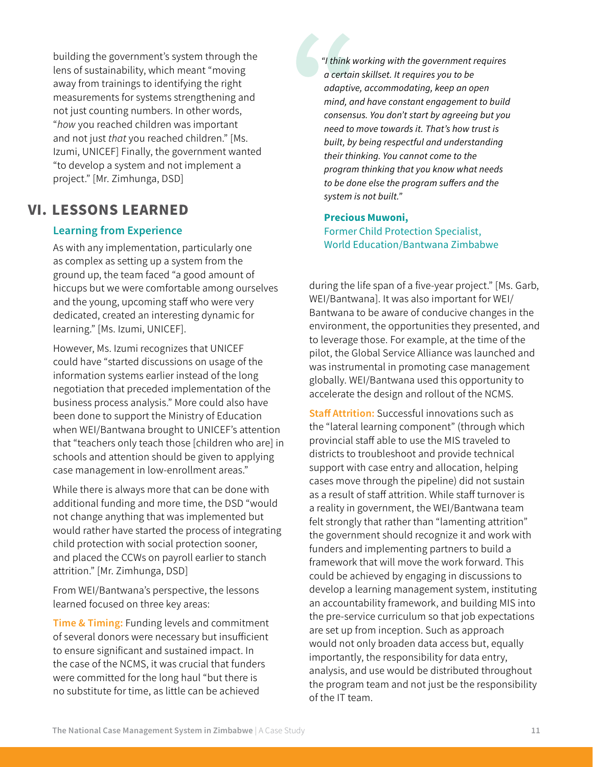building the government's system through the lens of sustainability, which meant "moving away from trainings to identifying the right measurements for systems strengthening and not just counting numbers. In other words, "*how* you reached children was important and not just *that* you reached children." [Ms. Izumi, UNICEF] Finally, the government wanted "to develop a system and not implement a project." [Mr. Zimhunga, DSD]

# VI. LESSONS LEARNED

### Learning from Experience

As with any implementation, particularly one as complex as setting up a system from the ground up, the team faced "a good amount of hiccups but we were comfortable among ourselves and the young, upcoming staff who were very dedicated, created an interesting dynamic for learning." [Ms. Izumi, UNICEF].

However, Ms. Izumi recognizes that UNICEF could have "started discussions on usage of the information systems earlier instead of the long negotiation that preceded implementation of the business process analysis." More could also have been done to support the Ministry of Education when WEI/Bantwana brought to UNICEF's attention that "teachers only teach those [children who are] in schools and attention should be given to applying case management in low-enrollment areas."

While there is always more that can be done with additional funding and more time, the DSD "would not change anything that was implemented but would rather have started the process of integrating child protection with social protection sooner, and placed the CCWs on payroll earlier to stanch attrition." [Mr. Zimhunga, DSD]

From WEI/Bantwana's perspective, the lessons learned focused on three key areas:

**Time & Timing:** Funding levels and commitment of several donors were necessary but insufficient to ensure significant and sustained impact. In the case of the NCMS, it was crucial that funders were committed for the long haul "but there is no substitute for time, as little can be achieved

*"I think working with the government requires a certain skillset. It requires you to be adaptive, accommodating, keep an open mind, and have constant engagement to build consensus. You don't start by agreeing but you need to move towards it. That's how trust is built, by being respectful and understanding their thinking. You cannot come to the program thinking that you know what needs to be done else the program suffers and the system is not built."* 

Precious Muwoni, Former Child Protection Specialist, World Education/Bantwana Zimbabwe

during the life span of a five-year project." [Ms. Garb, WEI/Bantwana]. It was also important for WEI/ Bantwana to be aware of conducive changes in the environment, the opportunities they presented, and to leverage those. For example, at the time of the pilot, the Global Service Alliance was launched and was instrumental in promoting case management globally. WEI/Bantwana used this opportunity to accelerate the design and rollout of the NCMS.

**Staff Attrition:** Successful innovations such as the "lateral learning component" (through which provincial staff able to use the MIS traveled to districts to troubleshoot and provide technical support with case entry and allocation, helping cases move through the pipeline) did not sustain as a result of staff attrition. While staff turnover is a reality in government, the WEI/Bantwana team felt strongly that rather than "lamenting attrition" the government should recognize it and work with funders and implementing partners to build a framework that will move the work forward. This could be achieved by engaging in discussions to develop a learning management system, instituting an accountability framework, and building MIS into the pre-service curriculum so that job expectations are set up from inception. Such as approach would not only broaden data access but, equally importantly, the responsibility for data entry, analysis, and use would be distributed throughout the program team and not just be the responsibility of the IT team.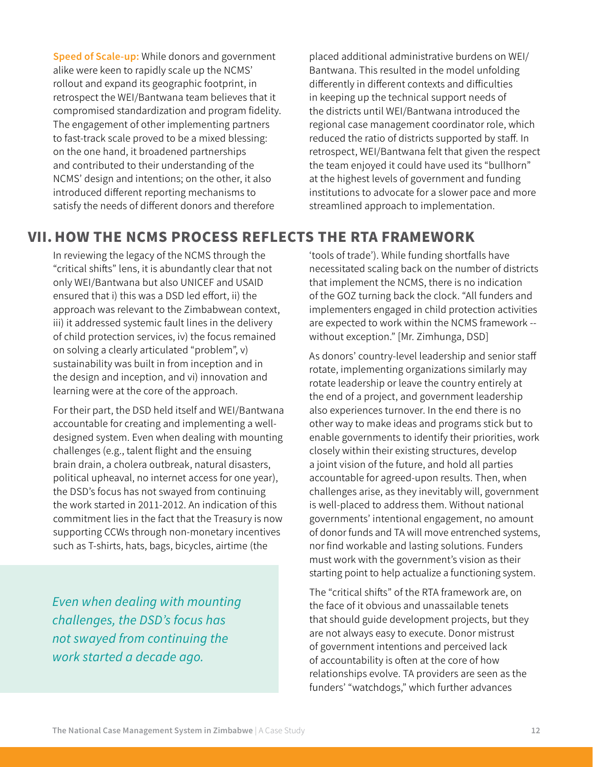Speed of Scale-up: While donors and government alike were keen to rapidly scale up the NCMS' rollout and expand its geographic footprint, in retrospect the WEI/Bantwana team believes that it compromised standardization and program fidelity. The engagement of other implementing partners to fast-track scale proved to be a mixed blessing: on the one hand, it broadened partnerships and contributed to their understanding of the NCMS' design and intentions; on the other, it also introduced different reporting mechanisms to satisfy the needs of different donors and therefore

placed additional administrative burdens on WEI/ Bantwana. This resulted in the model unfolding differently in different contexts and difficulties in keeping up the technical support needs of the districts until WEI/Bantwana introduced the regional case management coordinator role, which reduced the ratio of districts supported by staff. In retrospect, WEI/Bantwana felt that given the respect the team enjoyed it could have used its "bullhorn" at the highest levels of government and funding institutions to advocate for a slower pace and more streamlined approach to implementation.

## VII. HOW THE NCMS PROCESS REFLECTS THE RTA FRAMEWORK

In reviewing the legacy of the NCMS through the "critical shifts" lens, it is abundantly clear that not only WEI/Bantwana but also UNICEF and USAID ensured that i) this was a DSD led effort, ii) the approach was relevant to the Zimbabwean context, iii) it addressed systemic fault lines in the delivery of child protection services, iv) the focus remained on solving a clearly articulated "problem", v) sustainability was built in from inception and in the design and inception, and vi) innovation and learning were at the core of the approach.

For their part, the DSD held itself and WEI/Bantwana accountable for creating and implementing a welldesigned system. Even when dealing with mounting challenges (e.g., talent flight and the ensuing brain drain, a cholera outbreak, natural disasters, political upheaval, no internet access for one year), the DSD's focus has not swayed from continuing the work started in 2011-2012. An indication of this commitment lies in the fact that the Treasury is now supporting CCWs through non-monetary incentives such as T-shirts, hats, bags, bicycles, airtime (the

*children are being reached and receiving services, Even when dealing with mounting and the system that has been set up will outlive all of us. Zimbabwe was a very difficult country [to challenges, the DSD's focus has work in] and World Education did very well." not swayed from continuing the*  Ms. Alpha Chapendama, *work started a decade ago.*

'tools of trade'). While funding shortfalls have necessitated scaling back on the number of districts that implement the NCMS, there is no indication of the GOZ turning back the clock. "All funders and implementers engaged in child protection activities are expected to work within the NCMS framework - without exception." [Mr. Zimhunga, DSD]

As donors' country-level leadership and senior staff rotate, implementing organizations similarly may rotate leadership or leave the country entirely at the end of a project, and government leadership also experiences turnover. In the end there is no other way to make ideas and programs stick but to enable governments to identify their priorities, work closely within their existing structures, develop a joint vision of the future, and hold all parties accountable for agreed-upon results. Then, when challenges arise, as they inevitably will, government is well-placed to address them. Without national governments' intentional engagement, no amount of donor funds and TA will move entrenched systems, nor find workable and lasting solutions. Funders must work with the government's vision as their starting point to help actualize a functioning system.

The "critical shifts" of the RTA framework are, on the face of it obvious and unassailable tenets that should guide development projects, but they are not always easy to execute. Donor mistrust of government intentions and perceived lack of accountability is often at the core of how relationships evolve. TA providers are seen as the funders' "watchdogs," which further advances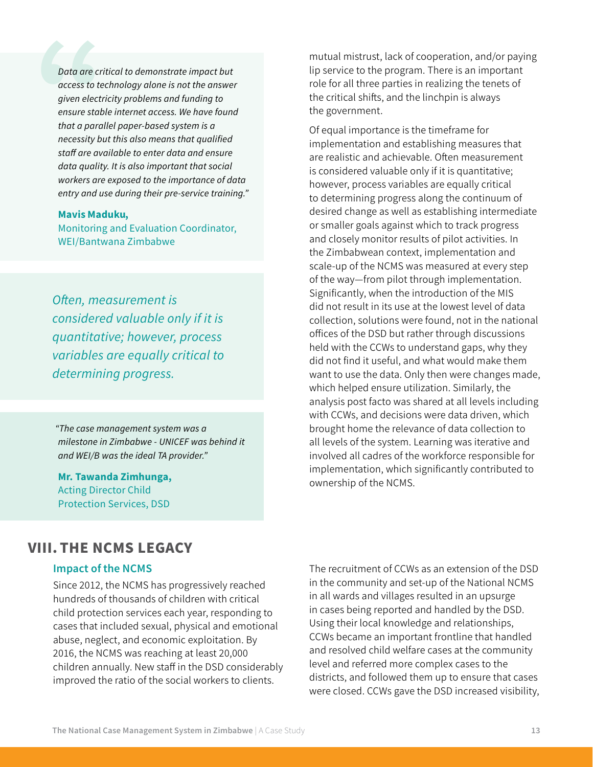*Data are critical to demonstrate impact but access to technology alone is not the answer given electricity problems and funding to ensure stable internet access. We have found that a parallel paper-based system is a necessity but this also means that qualified staff are available to enter data and ensure data quality. It is also important that social workers are exposed to the importance of data entry and use during their pre-service training."*

#### Mavis Maduku,

Monitoring and Evaluation Coordinator, WEI/Bantwana Zimbabwe

*"It's important to recognize that single isolated services don't necessarily result in change; Often, measurement is partnerships are necessary to address multi-considered valuable only if it is sectoral needs; and. that we work in countries quantitative; however, process and must align behind government's policies." variables are equally critical to*   $I$ otormining nyoqyaaq *determining progress.* 

*"The case management system was a milestone in Zimbabwe - UNICEF was behind it and WEI/B was the ideal TA provider."* 

Mr. Tawanda Zimhunga, Acting Director Child Protection Services, DSD

mutual mistrust, lack of cooperation, and/or paying lip service to the program. There is an important role for all three parties in realizing the tenets of the critical shifts, and the linchpin is always the government.

Of equal importance is the timeframe for implementation and establishing measures that are realistic and achievable. Often measurement is considered valuable only if it is quantitative; however, process variables are equally critical to determining progress along the continuum of desired change as well as establishing intermediate or smaller goals against which to track progress and closely monitor results of pilot activities. In the Zimbabwean context, implementation and scale-up of the NCMS was measured at every step of the way—from pilot through implementation. Significantly, when the introduction of the MIS did not result in its use at the lowest level of data collection, solutions were found, not in the national offices of the DSD but rather through discussions held with the CCWs to understand gaps, why they did not find it useful, and what would make them want to use the data. Only then were changes made, which helped ensure utilization. Similarly, the analysis post facto was shared at all levels including with CCWs, and decisions were data driven, which brought home the relevance of data collection to all levels of the system. Learning was iterative and involved all cadres of the workforce responsible for implementation, which significantly contributed to ownership of the NCMS.

### VIII. THE NCMS LEGACY

#### Impact of the NCMS

Since 2012, the NCMS has progressively reached hundreds of thousands of children with critical child protection services each year, responding to cases that included sexual, physical and emotional abuse, neglect, and economic exploitation. By 2016, the NCMS was reaching at least 20,000 children annually. New staff in the DSD considerably improved the ratio of the social workers to clients.

The recruitment of CCWs as an extension of the DSD in the community and set-up of the National NCMS in all wards and villages resulted in an upsurge in cases being reported and handled by the DSD. Using their local knowledge and relationships, CCWs became an important frontline that handled and resolved child welfare cases at the community level and referred more complex cases to the districts, and followed them up to ensure that cases were closed. CCWs gave the DSD increased visibility,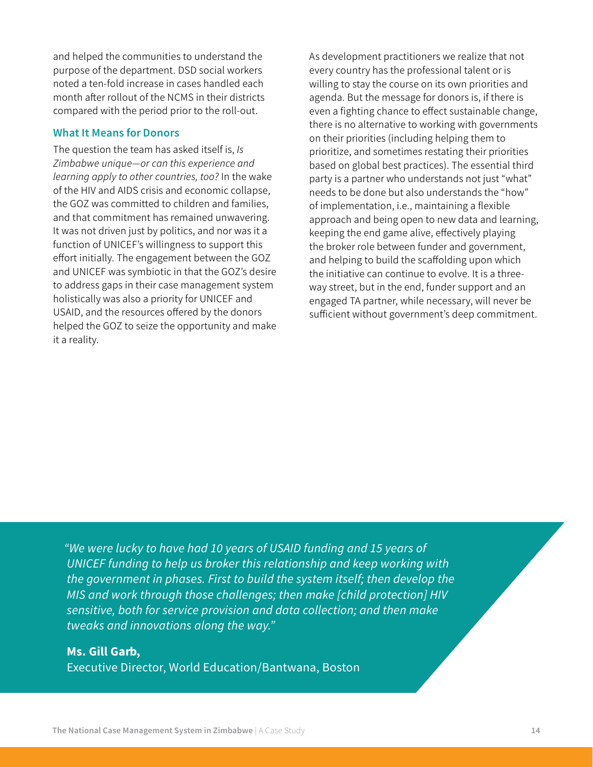and helped the communities to understand the purpose of the department. DSD social workers noted a ten-fold increase in cases handled each month after rollout of the NCMS in their districts compared with the period prior to the roll-out.

#### What It Means for Donors

The question the team has asked itself is, *Is Zimbabwe unique—or can this experience and learning apply to other countries, too?* In the wake of the HIV and AIDS crisis and economic collapse, the GOZ was committed to children and families, and that commitment has remained unwavering. It was not driven just by politics, and nor was it a function of UNICEF's willingness to support this effort initially. The engagement between the GOZ and UNICEF was symbiotic in that the GOZ's desire to address gaps in their case management system holistically was also a priority for UNICEF and USAID, and the resources offered by the donors helped the GOZ to seize the opportunity and make it a reality.

As development practitioners we realize that not every country has the professional talent or is willing to stay the course on its own priorities and agenda. But the message for donors is, if there is even a fighting chance to effect sustainable change, there is no alternative to working with governments on their priorities (including helping them to prioritize, and sometimes restating their priorities based on global best practices). The essential third party is a partner who understands not just "what" needs to be done but also understands the "how" of implementation, i.e., maintaining a flexible approach and being open to new data and learning, keeping the end game alive, effectively playing the broker role between funder and government, and helping to build the scaffolding upon which the initiative can continue to evolve. It is a threeway street, but in the end, funder support and an engaged TA partner, while necessary, will never be sufficient without government's deep commitment.

*"We were lucky to have had 10 years of USAID funding and 15 years of UNICEF funding to help us broker this relationship and keep working with the government in phases. First to build the system itself; then develop the MIS and work through those challenges; then make [child protection] HIV sensitive, both for service provision and data collection; and then make tweaks and innovations along the way."*

#### Ms. Gill Garb,

Executive Director, World Education/Bantwana, Boston